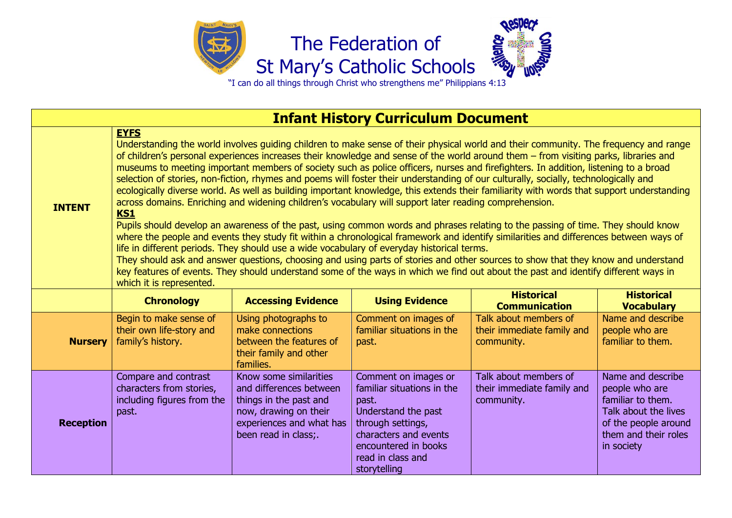





"I can do all things through Christ who strengthens me" Philippians 4:13

| <b>Infant History Curriculum Document</b> |                                                                                                                                                                                                                                                                                                                                                                                                                                                                                                                                                                                                                                                                                                                                                                                                                                                                                                                                                                                                                                                                                                                                                                                                                                                                                                                                                                                                                                                                                                                                   |                                                                                                                                                          |                                                                                                                                                                                               |                                                                   |                                                                                                                                                |  |  |  |
|-------------------------------------------|-----------------------------------------------------------------------------------------------------------------------------------------------------------------------------------------------------------------------------------------------------------------------------------------------------------------------------------------------------------------------------------------------------------------------------------------------------------------------------------------------------------------------------------------------------------------------------------------------------------------------------------------------------------------------------------------------------------------------------------------------------------------------------------------------------------------------------------------------------------------------------------------------------------------------------------------------------------------------------------------------------------------------------------------------------------------------------------------------------------------------------------------------------------------------------------------------------------------------------------------------------------------------------------------------------------------------------------------------------------------------------------------------------------------------------------------------------------------------------------------------------------------------------------|----------------------------------------------------------------------------------------------------------------------------------------------------------|-----------------------------------------------------------------------------------------------------------------------------------------------------------------------------------------------|-------------------------------------------------------------------|------------------------------------------------------------------------------------------------------------------------------------------------|--|--|--|
| <b>INTENT</b>                             | <b>EYFS</b><br>Understanding the world involves guiding children to make sense of their physical world and their community. The frequency and range<br>of children's personal experiences increases their knowledge and sense of the world around them - from visiting parks, libraries and<br>museums to meeting important members of society such as police officers, nurses and firefighters. In addition, listening to a broad<br>selection of stories, non-fiction, rhymes and poems will foster their understanding of our culturally, socially, technologically and<br>ecologically diverse world. As well as building important knowledge, this extends their familiarity with words that support understanding<br>across domains. Enriching and widening children's vocabulary will support later reading comprehension.<br><b>KS1</b><br>Pupils should develop an awareness of the past, using common words and phrases relating to the passing of time. They should know<br>where the people and events they study fit within a chronological framework and identify similarities and differences between ways of<br>life in different periods. They should use a wide vocabulary of everyday historical terms.<br>They should ask and answer questions, choosing and using parts of stories and other sources to show that they know and understand<br>key features of events. They should understand some of the ways in which we find out about the past and identify different ways in<br>which it is represented. |                                                                                                                                                          |                                                                                                                                                                                               |                                                                   |                                                                                                                                                |  |  |  |
|                                           | <b>Chronology</b>                                                                                                                                                                                                                                                                                                                                                                                                                                                                                                                                                                                                                                                                                                                                                                                                                                                                                                                                                                                                                                                                                                                                                                                                                                                                                                                                                                                                                                                                                                                 | <b>Accessing Evidence</b>                                                                                                                                | <b>Using Evidence</b>                                                                                                                                                                         | <b>Historical</b><br><b>Communication</b>                         | <b>Historical</b><br><b>Vocabulary</b>                                                                                                         |  |  |  |
| <b>Nursery</b>                            | Begin to make sense of<br>their own life-story and<br>family's history.                                                                                                                                                                                                                                                                                                                                                                                                                                                                                                                                                                                                                                                                                                                                                                                                                                                                                                                                                                                                                                                                                                                                                                                                                                                                                                                                                                                                                                                           | Using photographs to<br>make connections<br>between the features of<br>their family and other<br>families.                                               | Comment on images of<br>familiar situations in the<br>past.                                                                                                                                   | Talk about members of<br>their immediate family and<br>community. | Name and describe<br>people who are<br>familiar to them.                                                                                       |  |  |  |
| <b>Reception</b>                          | Compare and contrast<br>characters from stories,<br>including figures from the<br>past.                                                                                                                                                                                                                                                                                                                                                                                                                                                                                                                                                                                                                                                                                                                                                                                                                                                                                                                                                                                                                                                                                                                                                                                                                                                                                                                                                                                                                                           | Know some similarities<br>and differences between<br>things in the past and<br>now, drawing on their<br>experiences and what has<br>been read in class;. | Comment on images or<br>familiar situations in the<br>past.<br>Understand the past<br>through settings,<br>characters and events<br>encountered in books<br>read in class and<br>storytelling | Talk about members of<br>their immediate family and<br>community. | Name and describe<br>people who are<br>familiar to them.<br>Talk about the lives<br>of the people around<br>them and their roles<br>in society |  |  |  |